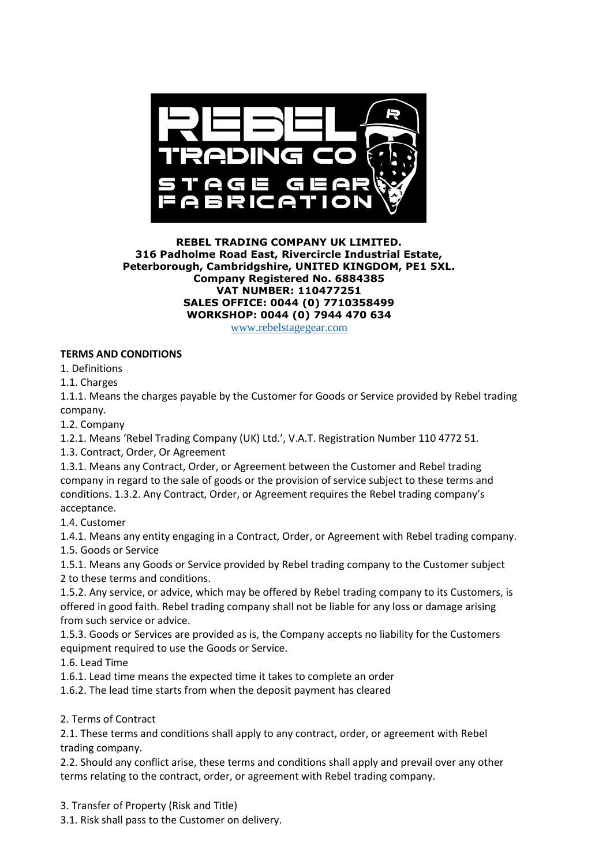

### **REBEL TRADING COMPANY UK LIMITED. 316 Padholme Road East, Rivercircle Industrial Estate, Peterborough, Cambridgshire, UNITED KINGDOM, PE1 5XL. Company Registered No. 6884385 VAT NUMBER: 110477251 SALES OFFICE: 0044 (0) 7710358499 WORKSHOP: 0044 (0) 7944 470 634**

[www.rebelstagegear.com](http://www.rebelstagegear.com/)

## **TERMS AND CONDITIONS**

1. Definitions

1.1. Charges

1.1.1. Means the charges payable by the Customer for Goods or Service provided by Rebel trading company.

1.2. Company

1.2.1. Means 'Rebel Trading Company (UK) Ltd.', V.A.T. Registration Number 110 4772 51.

1.3. Contract, Order, Or Agreement

1.3.1. Means any Contract, Order, or Agreement between the Customer and Rebel trading company in regard to the sale of goods or the provision of service subject to these terms and conditions. 1.3.2. Any Contract, Order, or Agreement requires the Rebel trading company's acceptance.

1.4. Customer

1.4.1. Means any entity engaging in a Contract, Order, or Agreement with Rebel trading company. 1.5. Goods or Service

1.5.1. Means any Goods or Service provided by Rebel trading company to the Customer subject 2 to these terms and conditions.

1.5.2. Any service, or advice, which may be offered by Rebel trading company to its Customers, is offered in good faith. Rebel trading company shall not be liable for any loss or damage arising from such service or advice.

1.5.3. Goods or Services are provided as is, the Company accepts no liability for the Customers equipment required to use the Goods or Service.

1.6. Lead Time

1.6.1. Lead time means the expected time it takes to complete an order

1.6.2. The lead time starts from when the deposit payment has cleared

#### 2. Terms of Contract

2.1. These terms and conditions shall apply to any contract, order, or agreement with Rebel trading company.

2.2. Should any conflict arise, these terms and conditions shall apply and prevail over any other terms relating to the contract, order, or agreement with Rebel trading company.

3. Transfer of Property (Risk and Title)

3.1. Risk shall pass to the Customer on delivery.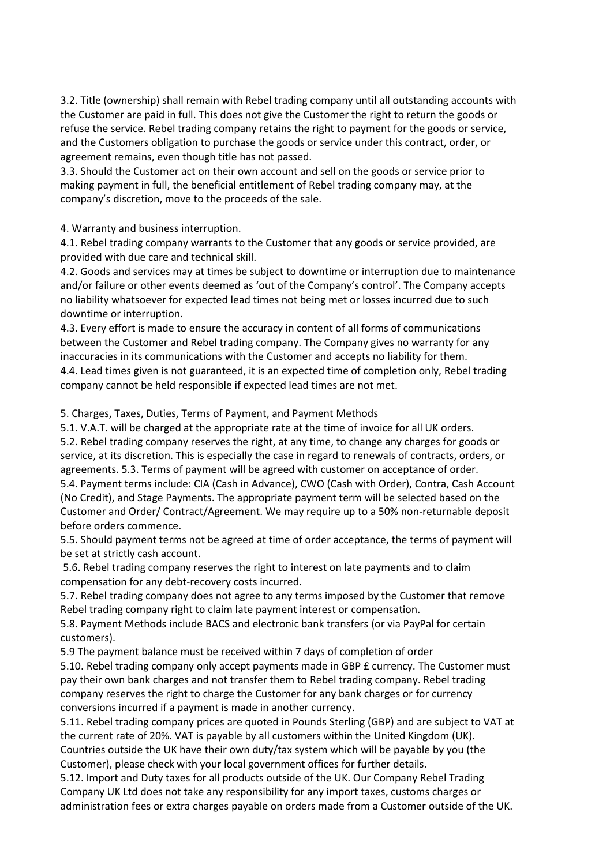3.2. Title (ownership) shall remain with Rebel trading company until all outstanding accounts with the Customer are paid in full. This does not give the Customer the right to return the goods or refuse the service. Rebel trading company retains the right to payment for the goods or service, and the Customers obligation to purchase the goods or service under this contract, order, or agreement remains, even though title has not passed.

3.3. Should the Customer act on their own account and sell on the goods or service prior to making payment in full, the beneficial entitlement of Rebel trading company may, at the company's discretion, move to the proceeds of the sale.

4. Warranty and business interruption.

4.1. Rebel trading company warrants to the Customer that any goods or service provided, are provided with due care and technical skill.

4.2. Goods and services may at times be subject to downtime or interruption due to maintenance and/or failure or other events deemed as 'out of the Company's control'. The Company accepts no liability whatsoever for expected lead times not being met or losses incurred due to such downtime or interruption.

4.3. Every effort is made to ensure the accuracy in content of all forms of communications between the Customer and Rebel trading company. The Company gives no warranty for any inaccuracies in its communications with the Customer and accepts no liability for them. 4.4. Lead times given is not guaranteed, it is an expected time of completion only, Rebel trading company cannot be held responsible if expected lead times are not met.

5. Charges, Taxes, Duties, Terms of Payment, and Payment Methods

5.1. V.A.T. will be charged at the appropriate rate at the time of invoice for all UK orders. 5.2. Rebel trading company reserves the right, at any time, to change any charges for goods or service, at its discretion. This is especially the case in regard to renewals of contracts, orders, or agreements. 5.3. Terms of payment will be agreed with customer on acceptance of order. 5.4. Payment terms include: CIA (Cash in Advance), CWO (Cash with Order), Contra, Cash Account (No Credit), and Stage Payments. The appropriate payment term will be selected based on the Customer and Order/ Contract/Agreement. We may require up to a 50% non-returnable deposit before orders commence.

5.5. Should payment terms not be agreed at time of order acceptance, the terms of payment will be set at strictly cash account.

5.6. Rebel trading company reserves the right to interest on late payments and to claim compensation for any debt-recovery costs incurred.

5.7. Rebel trading company does not agree to any terms imposed by the Customer that remove Rebel trading company right to claim late payment interest or compensation.

5.8. Payment Methods include BACS and electronic bank transfers (or via PayPal for certain customers).

5.9 The payment balance must be received within 7 days of completion of order

5.10. Rebel trading company only accept payments made in GBP £ currency. The Customer must pay their own bank charges and not transfer them to Rebel trading company. Rebel trading company reserves the right to charge the Customer for any bank charges or for currency conversions incurred if a payment is made in another currency.

5.11. Rebel trading company prices are quoted in Pounds Sterling (GBP) and are subject to VAT at the current rate of 20%. VAT is payable by all customers within the United Kingdom (UK). Countries outside the UK have their own duty/tax system which will be payable by you (the Customer), please check with your local government offices for further details.

5.12. Import and Duty taxes for all products outside of the UK. Our Company Rebel Trading Company UK Ltd does not take any responsibility for any import taxes, customs charges or administration fees or extra charges payable on orders made from a Customer outside of the UK.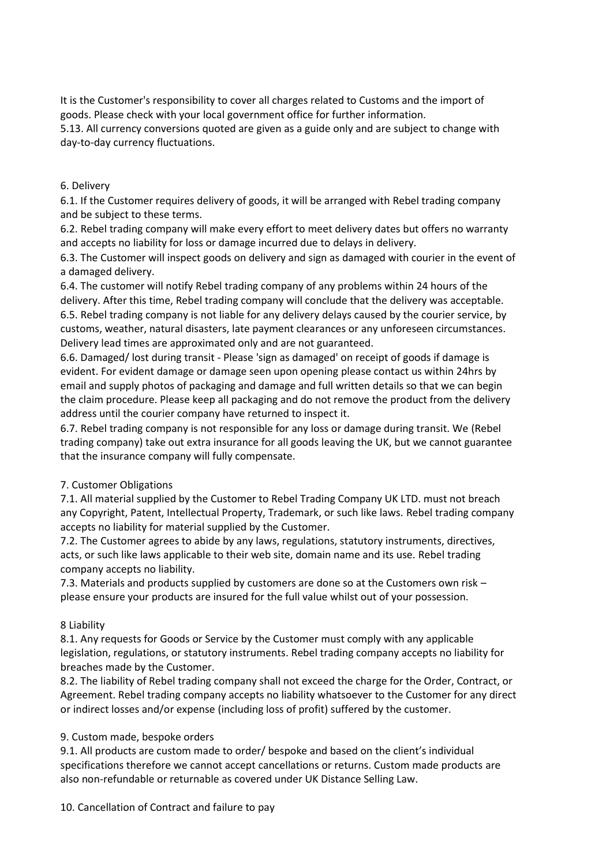It is the Customer's responsibility to cover all charges related to Customs and the import of goods. Please check with your local government office for further information.

5.13. All currency conversions quoted are given as a guide only and are subject to change with day-to-day currency fluctuations.

### 6. Delivery

6.1. If the Customer requires delivery of goods, it will be arranged with Rebel trading company and be subject to these terms.

6.2. Rebel trading company will make every effort to meet delivery dates but offers no warranty and accepts no liability for loss or damage incurred due to delays in delivery.

6.3. The Customer will inspect goods on delivery and sign as damaged with courier in the event of a damaged delivery.

6.4. The customer will notify Rebel trading company of any problems within 24 hours of the delivery. After this time, Rebel trading company will conclude that the delivery was acceptable. 6.5. Rebel trading company is not liable for any delivery delays caused by the courier service, by customs, weather, natural disasters, late payment clearances or any unforeseen circumstances. Delivery lead times are approximated only and are not guaranteed.

6.6. Damaged/ lost during transit - Please 'sign as damaged' on receipt of goods if damage is evident. For evident damage or damage seen upon opening please contact us within 24hrs by email and supply photos of packaging and damage and full written details so that we can begin the claim procedure. Please keep all packaging and do not remove the product from the delivery address until the courier company have returned to inspect it.

6.7. Rebel trading company is not responsible for any loss or damage during transit. We (Rebel trading company) take out extra insurance for all goods leaving the UK, but we cannot guarantee that the insurance company will fully compensate.

## 7. Customer Obligations

7.1. All material supplied by the Customer to Rebel Trading Company UK LTD. must not breach any Copyright, Patent, Intellectual Property, Trademark, or such like laws. Rebel trading company accepts no liability for material supplied by the Customer.

7.2. The Customer agrees to abide by any laws, regulations, statutory instruments, directives, acts, or such like laws applicable to their web site, domain name and its use. Rebel trading company accepts no liability.

7.3. Materials and products supplied by customers are done so at the Customers own risk – please ensure your products are insured for the full value whilst out of your possession.

#### 8 Liability

8.1. Any requests for Goods or Service by the Customer must comply with any applicable legislation, regulations, or statutory instruments. Rebel trading company accepts no liability for breaches made by the Customer.

8.2. The liability of Rebel trading company shall not exceed the charge for the Order, Contract, or Agreement. Rebel trading company accepts no liability whatsoever to the Customer for any direct or indirect losses and/or expense (including loss of profit) suffered by the customer.

#### 9. Custom made, bespoke orders

9.1. All products are custom made to order/ bespoke and based on the client's individual specifications therefore we cannot accept cancellations or returns. Custom made products are also non-refundable or returnable as covered under UK Distance Selling Law.

10. Cancellation of Contract and failure to pay